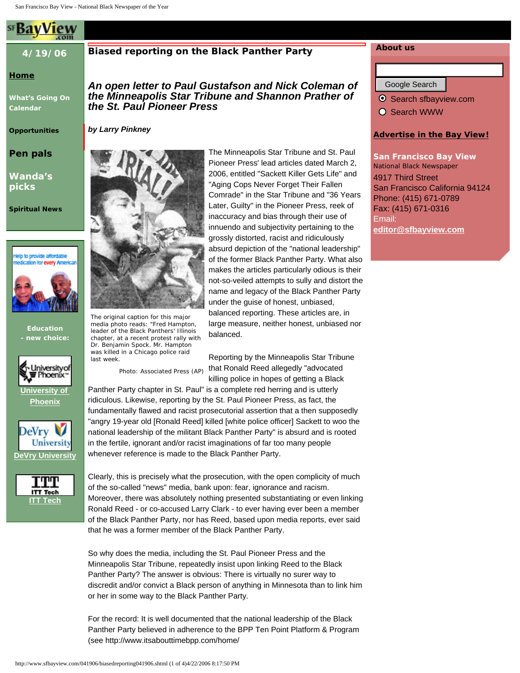# **4/19/06**

# **[Home](http://www.sfbayview.com/)**

**[What's Going On](http://www.sfbayview.com/041906/calendar041906.shtml) [Calendar](http://www.sfbayview.com/041906/calendar041906.shtml)**

**[Opportunities](http://www.sfbayview.com/041906/opportunities041906.shtml)**

**[Pen pals](http://www.sfbayview.com/penpals.shtml)**

**[Wanda's](http://www.sfbayview.com/041906/wandaspicks041906.shtml) [picks](http://www.sfbayview.com/041906/wandaspicks041906.shtml)**

**[Spiritual News](http://www.sfbayview.com/041206/spiritualnews041206.shtml)**



**Education - new choice:**



**[University of](http://burah.com/clk/obaidesenitteraio)  [Phoenix](http://burah.com/clk/obaidesenitteraio)**





# **Biased reporting on the Black Panther Party**

*An open letter to Paul Gustafson and Nick Coleman of the Minneapolis Star Tribune and Shannon Prather of the St. Paul Pioneer Press*

# *by Larry Pinkney*

chapter, at a recent protest rally with Dr. Benjamin Spock. Mr. Hampton was killed in a Chicago police raid

Photo: Associated Press (AP)

last week.

The original caption for this major media photo reads: "Fred Hampton, leader of the Black Panthers' Illinois The Minneapolis Star Tribune and St. Paul Pioneer Press' lead articles dated March 2, 2006, entitled "Sackett Killer Gets Life" and "Aging Cops Never Forget Their Fallen Comrade" in the Star Tribune and "36 Years Later, Guilty" in the Pioneer Press, reek of inaccuracy and bias through their use of innuendo and subjectivity pertaining to the grossly distorted, racist and ridiculously absurd depiction of the "national leadership" of the former Black Panther Party. What also makes the articles particularly odious is their not-so-veiled attempts to sully and distort the name and legacy of the Black Panther Party under the guise of honest, unbiased, balanced reporting. These articles are, in large measure, neither honest, unbiased nor balanced. An example of the three companies can find the companies can find the companies of the companies can find the companies of the companies of the companies of the companies of the companies of the companies of the companies

Reporting by the Minneapolis Star Tribune that Ronald Reed allegedly "advocated killing police in hopes of getting a Black

Panther Party chapter in St. Paul" is a complete red herring and is utterly ridiculous. Likewise, reporting by the St. Paul Pioneer Press, as fact, the fundamentally flawed and racist prosecutorial assertion that a then supposedly "angry 19-year old [Ronald Reed] killed [white police officer] Sackett to woo the national leadership of the militant Black Panther Party" is absurd and is rooted in the fertile, ignorant and/or racist imaginations of far too many people whenever reference is made to the Black Panther Party.

Clearly, this is precisely what the prosecution, with the open complicity of much of the so-called "news" media, bank upon: fear, ignorance and racism. Moreover, there was absolutely nothing presented substantiating or even linking Ronald Reed - or co-accused Larry Clark - to ever having ever been a member of the Black Panther Party, nor has Reed, based upon media reports, ever said that he was a former member of the Black Panther Party.

So why does the media, including the St. Paul Pioneer Press and the Minneapolis Star Tribune, repeatedly insist upon linking Reed to the Black Panther Party? The answer is obvious: There is virtually no surer way to discredit and/or convict a Black person of anything in Minnesota than to link him or her in some way to the Black Panther Party.

For the record: It is well documented that the national leadership of the Black Panther Party believed in adherence to the BPP Ten Point Platform & Program (see http://www.itsabouttimebpp.com/home/

# **About us**

● Search sfbayview.com

O Search WWW

### **[Advertise in the Bay View!](http://www.sfbayview.com/circulationandrates.shtml)**

**San Francisco Bay View** *National Black Newspaper*  4917 Third Street San Francisco California 94124 Phone: (415) 671-0789 Fax: (415) 671-0316 Email: **[editor@sfbayview.com](mailto:editor@sfbayview.com)**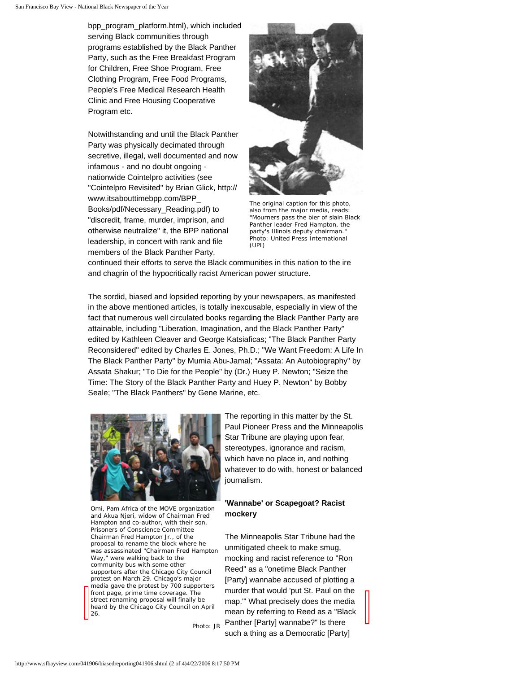bpp\_program\_platform.html), which included serving Black communities through programs established by the Black Panther Party, such as the Free Breakfast Program for Children, Free Shoe Program, Free Clothing Program, Free Food Programs, People's Free Medical Research Health Clinic and Free Housing Cooperative Program etc.

Notwithstanding and until the Black Panther Party was physically decimated through secretive, illegal, well documented and now infamous - and no doubt ongoing nationwide Cointelpro activities (see "Cointelpro Revisited" by Brian Glick, http:// www.itsabouttimebpp.com/BPP\_ Books/pdf/Necessary\_Reading.pdf) to "discredit, frame, murder, imprison, and otherwise neutralize" it, the BPP national leadership, in concert with rank and file members of the Black Panther Party,



The original caption for this photo, also from the major media, reads: "Mourners pass the bier of slain Black Panther leader Fred Hampton, the party's Illinois deputy chairman." Photo: United Press International (UPI)

continued their efforts to serve the Black communities in this nation to the ire and chagrin of the hypocritically racist American power structure.

The sordid, biased and lopsided reporting by your newspapers, as manifested in the above mentioned articles, is totally inexcusable, especially in view of the fact that numerous well circulated books regarding the Black Panther Party are attainable, including "Liberation, Imagination, and the Black Panther Party" edited by Kathleen Cleaver and George Katsiaficas; "The Black Panther Party Reconsidered" edited by Charles E. Jones, Ph.D.; "We Want Freedom: A Life In The Black Panther Party" by Mumia Abu-Jamal; "Assata: An Autobiography" by Assata Shakur; "To Die for the People" by (Dr.) Huey P. Newton; "Seize the Time: The Story of the Black Panther Party and Huey P. Newton" by Bobby Seale; "The Black Panthers" by Gene Marine, etc.



Omi, Pam Africa of the MOVE organization and Akua Njeri, widow of Chairman Fred Hampton and co-author, with their son, Prisoners of Conscience Committee Chairman Fred Hampton Jr., of the proposal to rename the block where he was assassinated "Chairman Fred Hampton Way," were walking back to the community bus with some other supporters after the Chicago City Council protest on March 29. Chicago's major media gave the protest by 700 supporters front page, prime time coverage. The street renaming proposal will finally be heard by the Chicago City Council on April 26.

Photo: JR

The reporting in this matter by the St. Paul Pioneer Press and the Minneapolis Star Tribune are playing upon fear, stereotypes, ignorance and racism, which have no place in, and nothing whatever to do with, honest or balanced journalism.

### **'Wannabe' or Scapegoat? Racist mockery**

The Minneapolis Star Tribune had the unmitigated cheek to make smug, mocking and racist reference to "Ron Reed" as a "onetime Black Panther [Party] wannabe accused of plotting a murder that would 'put St. Paul on the map.'" What precisely does the media mean by referring to Reed as a "Black Panther [Party] wannabe?" Is there such a thing as a Democratic [Party]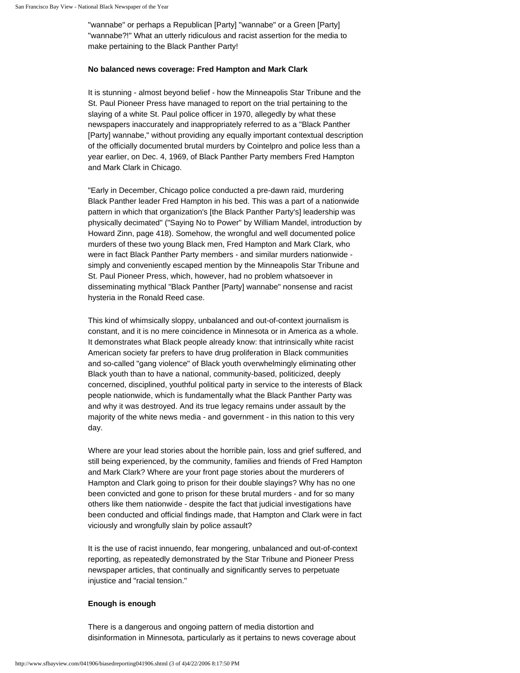"wannabe" or perhaps a Republican [Party] "wannabe" or a Green [Party] "wannabe?!" What an utterly ridiculous and racist assertion for the media to make pertaining to the Black Panther Party!

### **No balanced news coverage: Fred Hampton and Mark Clark**

It is stunning - almost beyond belief - how the Minneapolis Star Tribune and the St. Paul Pioneer Press have managed to report on the trial pertaining to the slaying of a white St. Paul police officer in 1970, allegedly by what these newspapers inaccurately and inappropriately referred to as a "Black Panther [Party] wannabe," without providing any equally important contextual description of the officially documented brutal murders by Cointelpro and police less than a year earlier, on Dec. 4, 1969, of Black Panther Party members Fred Hampton and Mark Clark in Chicago.

"Early in December, Chicago police conducted a pre-dawn raid, murdering Black Panther leader Fred Hampton in his bed. This was a part of a nationwide pattern in which that organization's [the Black Panther Party's] leadership was physically decimated" ("Saying No to Power" by William Mandel, introduction by Howard Zinn, page 418). Somehow, the wrongful and well documented police murders of these two young Black men, Fred Hampton and Mark Clark, who were in fact Black Panther Party members - and similar murders nationwide simply and conveniently escaped mention by the Minneapolis Star Tribune and St. Paul Pioneer Press, which, however, had no problem whatsoever in disseminating mythical "Black Panther [Party] wannabe" nonsense and racist hysteria in the Ronald Reed case.

This kind of whimsically sloppy, unbalanced and out-of-context journalism is constant, and it is no mere coincidence in Minnesota or in America as a whole. It demonstrates what Black people already know: that intrinsically white racist American society far prefers to have drug proliferation in Black communities and so-called "gang violence" of Black youth overwhelmingly eliminating other Black youth than to have a national, community-based, politicized, deeply concerned, disciplined, youthful political party in service to the interests of Black people nationwide, which is fundamentally what the Black Panther Party was and why it was destroyed. And its true legacy remains under assault by the majority of the white news media - and government - in this nation to this very day.

Where are your lead stories about the horrible pain, loss and grief suffered, and still being experienced, by the community, families and friends of Fred Hampton and Mark Clark? Where are your front page stories about the murderers of Hampton and Clark going to prison for their double slayings? Why has no one been convicted and gone to prison for these brutal murders - and for so many others like them nationwide - despite the fact that judicial investigations have been conducted and official findings made, that Hampton and Clark were in fact viciously and wrongfully slain by police assault?

It is the use of racist innuendo, fear mongering, unbalanced and out-of-context reporting, as repeatedly demonstrated by the Star Tribune and Pioneer Press newspaper articles, that continually and significantly serves to perpetuate injustice and "racial tension."

### **Enough is enough**

There is a dangerous and ongoing pattern of media distortion and disinformation in Minnesota, particularly as it pertains to news coverage about